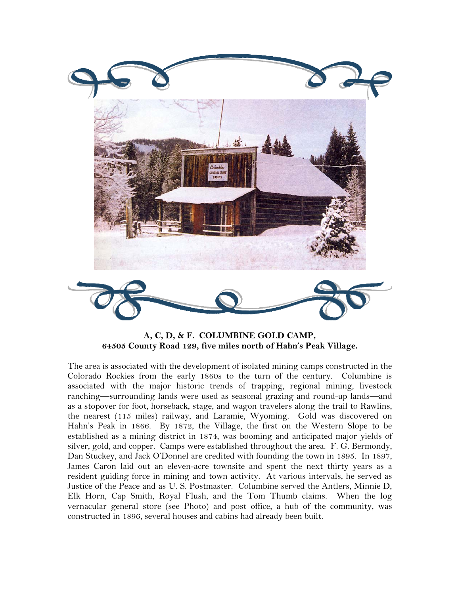

**A, C, D, & F. COLUMBINE GOLD CAMP, 64505 County Road 129, five miles north of Hahn's Peak Village.** 

The area is associated with the development of isolated mining camps constructed in the Colorado Rockies from the early 1860s to the turn of the century. Columbine is associated with the major historic trends of trapping, regional mining, livestock ranching—surrounding lands were used as seasonal grazing and round-up lands—and as a stopover for foot, horseback, stage, and wagon travelers along the trail to Rawlins, the nearest (115 miles) railway, and Laramie, Wyoming. Gold was discovered on Hahn's Peak in 1866. By 1872, the Village, the first on the Western Slope to be established as a mining district in 1874, was booming and anticipated major yields of silver, gold, and copper. Camps were established throughout the area. F. G. Bermondy, Dan Stuckey, and Jack O'Donnel are credited with founding the town in 1895. In 1897, James Caron laid out an eleven-acre townsite and spent the next thirty years as a resident guiding force in mining and town activity. At various intervals, he served as Justice of the Peace and as U. S. Postmaster. Columbine served the Antlers, Minnie D, Elk Horn, Cap Smith, Royal Flush, and the Tom Thumb claims. When the log vernacular general store (see Photo) and post office, a hub of the community, was constructed in 1896, several houses and cabins had already been built.